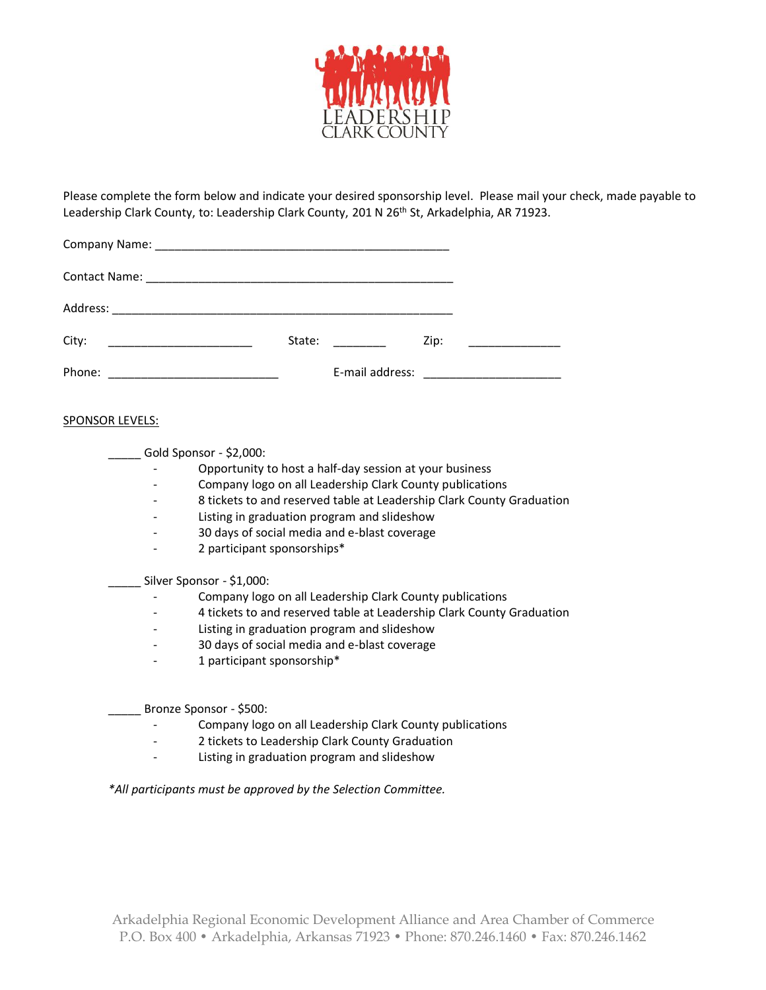

Please complete the form below and indicate your desired sponsorship level. Please mail your check, made payable to Leadership Clark County, to: Leadership Clark County, 201 N 26<sup>th</sup> St, Arkadelphia, AR 71923.

| City:  | State: | Zip: |  |
|--------|--------|------|--|
| Phone: |        |      |  |

## SPONSOR LEVELS:

Gold Sponsor - \$2,000:

- Opportunity to host a half-day session at your business
- Company logo on all Leadership Clark County publications
- 8 tickets to and reserved table at Leadership Clark County Graduation
- Listing in graduation program and slideshow
- 30 days of social media and e-blast coverage
- 2 participant sponsorships\*

\_\_\_\_\_ Silver Sponsor - \$1,000:

- Company logo on all Leadership Clark County publications
- 4 tickets to and reserved table at Leadership Clark County Graduation
- Listing in graduation program and slideshow
- 30 days of social media and e-blast coverage
- 1 participant sponsorship\*

Bronze Sponsor - \$500:

- Company logo on all Leadership Clark County publications
- 2 tickets to Leadership Clark County Graduation
- Listing in graduation program and slideshow

*\*All participants must be approved by the Selection Committee.*